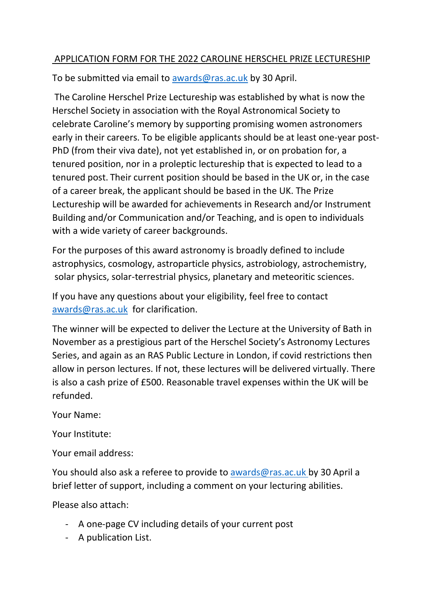## APPLICATION FORM FOR THE 2022 CAROLINE HERSCHEL PRIZE LECTURESHIP

To be submitted via email to [awards@ras.ac.uk](mailto:awards@ras.ac.uk) by 30 April.

The Caroline Herschel Prize Lectureship was established by what is now the Herschel Society in association with the Royal Astronomical Society to celebrate Caroline's memory by supporting promising women astronomers early in their careers. To be eligible applicants should be at least one-year post-PhD (from their viva date), not yet established in, or on probation for, a tenured position, nor in a proleptic lectureship that is expected to lead to a tenured post. Their current position should be based in the UK or, in the case of a career break, the applicant should be based in the UK. The Prize Lectureship will be awarded for achievements in Research and/or Instrument Building and/or Communication and/or Teaching, and is open to individuals with a wide variety of career backgrounds.

For the purposes of this award astronomy is broadly defined to include astrophysics, cosmology, astroparticle physics, astrobiology, astrochemistry, solar physics, solar-terrestrial physics, planetary and meteoritic sciences.

If you have any questions about your eligibility, feel free to contact [awards@ras.ac.uk](mailto:awards@ras.ac.uk) for clarification.

The winner will be expected to deliver the Lecture at the University of Bath in November as a prestigious part of the Herschel Society's Astronomy Lectures Series, and again as an RAS Public Lecture in London, if covid restrictions then allow in person lectures. If not, these lectures will be delivered virtually. There is also a cash prize of £500. Reasonable travel expenses within the UK will be refunded.

Your Name:

Your Institute:

Your email address:

You should also ask a referee to provide to [awards@ras.ac.uk](mailto:awards@ras.ac.uk) by 30 April a brief letter of support, including a comment on your lecturing abilities.

Please also attach:

- A one-page CV including details of your current post
- A publication List.